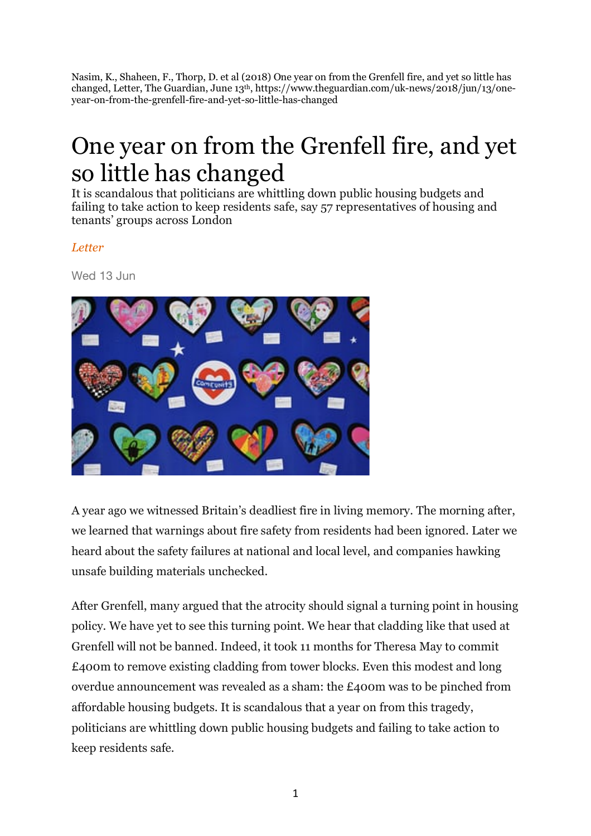Nasim, K., Shaheen, F., Thorp, D. et al (2018) One year on from the Grenfell fire, and yet so little has changed, Letter, The Guardian, June 13th, https://www.theguardian.com/uk-news/2018/jun/13/oneyear-on-from-the-grenfell-fire-and-yet-so-little-has-changed

## One year on from the Grenfell fire, and yet so little has changed

It is scandalous that politicians are whittling down public housing budgets and failing to take action to keep residents safe, say 57 representatives of housing and tenants' groups across London

*Letter*

Wed 13 Jun



A year ago we witnessed Britain's deadliest fire in living memory. The morning after, we learned that warnings about fire safety from residents had been ignored. Later we heard about the safety failures at national and local level, and companies hawking unsafe building materials unchecked.

After Grenfell, many argued that the atrocity should signal a turning point in housing policy. We have yet to see this turning point. We hear that cladding like that used at Grenfell will not be banned. Indeed, it took 11 months for Theresa May to commit £400m to remove existing cladding from tower blocks. Even this modest and long overdue announcement was revealed as a sham: the £400m was to be pinched from affordable housing budgets. It is scandalous that a year on from this tragedy, politicians are whittling down public housing budgets and failing to take action to keep residents safe.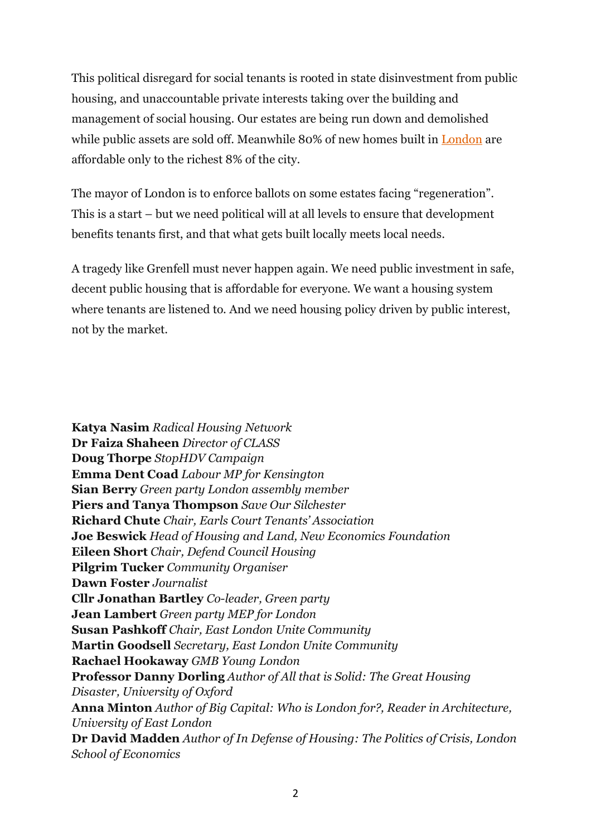This political disregard for social tenants is rooted in state disinvestment from public housing, and unaccountable private interests taking over the building and management of social housing. Our estates are being run down and demolished while public assets are sold off. Meanwhile 80% of new homes built in London are affordable only to the richest 8% of the city.

The mayor of London is to enforce ballots on some estates facing "regeneration". This is a start – but we need political will at all levels to ensure that development benefits tenants first, and that what gets built locally meets local needs.

A tragedy like Grenfell must never happen again. We need public investment in safe, decent public housing that is affordable for everyone. We want a housing system where tenants are listened to. And we need housing policy driven by public interest, not by the market.

**Katya Nasim** *Radical Housing Network* **Dr Faiza Shaheen** *Director of CLASS* **Doug Thorpe** *StopHDV Campaign* **Emma Dent Coad** *Labour MP for Kensington* **Sian Berry** *Green party London assembly member* **Piers and Tanya Thompson** *Save Our Silchester* **Richard Chute** *Chair, Earls Court Tenants' Association* **Joe Beswick** *Head of Housing and Land, New Economics Foundation* **Eileen Short** *Chair, Defend Council Housing* **Pilgrim Tucker** *Community Organiser* **Dawn Foster** *Journalist* **Cllr Jonathan Bartley** *Co-leader, Green party* **Jean Lambert** *Green party MEP for London* **Susan Pashkoff** *Chair, East London Unite Community* **Martin Goodsell** *Secretary, East London Unite Community* **Rachael Hookaway** *GMB Young London* **Professor Danny Dorling** *Author of All that is Solid: The Great Housing Disaster, University of Oxford* **Anna Minton** *Author of Big Capital: Who is London for?, Reader in Architecture, University of East London* **Dr David Madden** *Author of In Defense of Housing: The Politics of Crisis, London School of Economics*